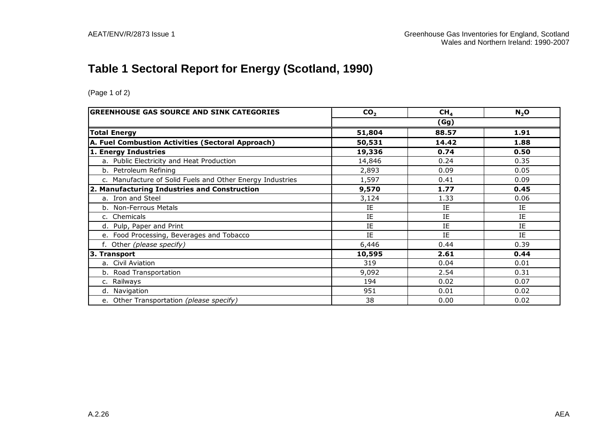# **Table 1 Sectoral Report for Energy (Scotland, 1990)**

| <b>GREENHOUSE GAS SOURCE AND SINK CATEGORIES</b>          | CO <sub>2</sub> | CH <sub>4</sub> | $N_2$ O |
|-----------------------------------------------------------|-----------------|-----------------|---------|
|                                                           |                 | (Gg)            |         |
| <b>Total Energy</b>                                       | 51,804          | 88.57           | 1.91    |
| A. Fuel Combustion Activities (Sectoral Approach)         | 50,531          | 14.42           | 1.88    |
| 1. Energy Industries                                      | 19,336          | 0.74            | 0.50    |
| a. Public Electricity and Heat Production                 | 14,846          | 0.24            | 0.35    |
| b. Petroleum Refining                                     | 2,893           | 0.09            | 0.05    |
| c. Manufacture of Solid Fuels and Other Energy Industries | 1,597           | 0.41            | 0.09    |
| 2. Manufacturing Industries and Construction              | 9,570           | 1.77            | 0.45    |
| a. Iron and Steel                                         | 3,124           | 1.33            | 0.06    |
| b. Non-Ferrous Metals                                     | ΙE              | IE              | IE      |
| c. Chemicals                                              | IE              | IE              | IE      |
| d. Pulp, Paper and Print                                  | IE              | IE              | IE      |
| e. Food Processing, Beverages and Tobacco                 | IE              | IE              | IE      |
| f. Other (please specify)                                 | 6,446           | 0.44            | 0.39    |
| 3. Transport                                              | 10,595          | 2.61            | 0.44    |
| a. Civil Aviation                                         | 319             | 0.04            | 0.01    |
| b. Road Transportation                                    | 9,092           | 2.54            | 0.31    |
| c. Railways                                               | 194             | 0.02            | 0.07    |
| d. Navigation                                             | 951             | 0.01            | 0.02    |
| e. Other Transportation (please specify)                  | 38              | 0.00            | 0.02    |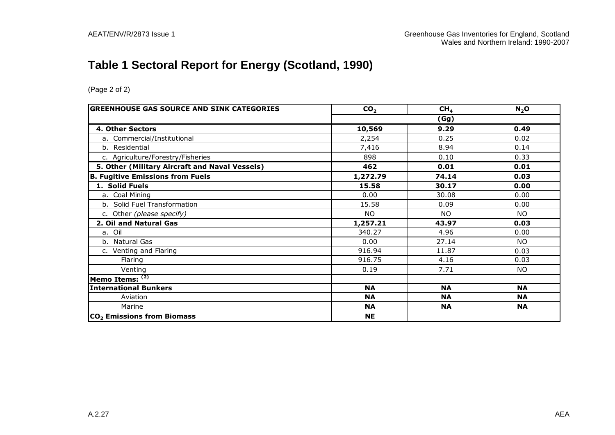# **Table 1 Sectoral Report for Energy (Scotland, 1990)**

| <b>GREENHOUSE GAS SOURCE AND SINK CATEGORIES</b> | CO <sub>2</sub> | CH <sub>4</sub> | $N_2$ O   |  |  |
|--------------------------------------------------|-----------------|-----------------|-----------|--|--|
|                                                  | (Gg)            |                 |           |  |  |
| 4. Other Sectors                                 | 10,569          | 9.29            | 0.49      |  |  |
| a. Commercial/Institutional                      | 2,254           | 0.25            | 0.02      |  |  |
| b. Residential                                   | 7,416           | 8.94            | 0.14      |  |  |
| c. Agriculture/Forestry/Fisheries                | 898             | 0.10            | 0.33      |  |  |
| 5. Other (Military Aircraft and Naval Vessels)   | 462             | 0.01            | 0.01      |  |  |
| <b>B. Fugitive Emissions from Fuels</b>          | 1,272.79        | 74.14           | 0.03      |  |  |
| 1. Solid Fuels                                   | 15.58           | 30.17           | 0.00      |  |  |
| a. Coal Mining                                   | 0.00            | 30.08           | 0.00      |  |  |
| b. Solid Fuel Transformation                     | 15.58           | 0.09            | 0.00      |  |  |
| c. Other (please specify)                        | <b>NO</b>       | <b>NO</b>       | NO        |  |  |
| 2. Oil and Natural Gas                           | 1,257.21        | 43.97           | 0.03      |  |  |
| a. Oil                                           | 340.27          | 4.96            | 0.00      |  |  |
| b. Natural Gas                                   | 0.00            | 27.14           | NO.       |  |  |
| c. Venting and Flaring                           | 916.94          | 11.87           | 0.03      |  |  |
| Flaring                                          | 916.75          | 4.16            | 0.03      |  |  |
| Venting                                          | 0.19            | 7.71            | <b>NO</b> |  |  |
| Memo Items: $(2)$                                |                 |                 |           |  |  |
| <b>International Bunkers</b>                     | <b>NA</b>       | <b>NA</b>       | <b>NA</b> |  |  |
| Aviation                                         | <b>NA</b>       | <b>NA</b>       | <b>NA</b> |  |  |
| Marine                                           | <b>NA</b>       | <b>NA</b>       | <b>NA</b> |  |  |
| CO <sub>2</sub> Emissions from Biomass           | <b>NE</b>       |                 |           |  |  |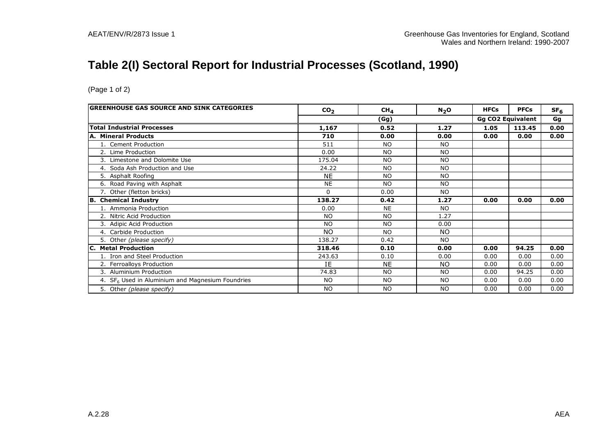# **Table 2(I) Sectoral Report for Industrial Processes (Scotland, 1990)**

| GREENHOUSE GAS SOURCE AND SINK CATEGORIES          | CO <sub>2</sub> | CH <sub>4</sub> | N <sub>2</sub> O | <b>HFCs</b> | <b>PFCs</b>              | SF <sub>6</sub> |
|----------------------------------------------------|-----------------|-----------------|------------------|-------------|--------------------------|-----------------|
|                                                    |                 | (Gg)            |                  |             | <b>Gg CO2 Equivalent</b> | Gg              |
| <b>Total Industrial Processes</b>                  | 1,167           | 0.52            | 1.27             | 1.05        | 113.45                   | 0.00            |
| A. Mineral Products                                | 710             | 0.00            | 0.00             | 0.00        | 0.00                     | 0.00            |
| 1. Cement Production                               | 511             | <b>NO</b>       | <b>NO</b>        |             |                          |                 |
| 2. Lime Production                                 | 0.00            | N <sub>O</sub>  | <b>NO</b>        |             |                          |                 |
| 3. Limestone and Dolomite Use                      | 175.04          | N <sub>O</sub>  | <b>NO</b>        |             |                          |                 |
| 4. Soda Ash Production and Use                     | 24.22           | <b>NO</b>       | <b>NO</b>        |             |                          |                 |
| 5. Asphalt Roofing                                 | <b>NE</b>       | <b>NO</b>       | <b>NO</b>        |             |                          |                 |
| 6. Road Paving with Asphalt                        | <b>NE</b>       | <b>NO</b>       | <b>NO</b>        |             |                          |                 |
| 7. Other (fletton bricks)                          | $\Omega$        | 0.00            | <b>NO</b>        |             |                          |                 |
| <b>B. Chemical Industry</b>                        | 138.27          | 0.42            | 1.27             | 0.00        | 0.00                     | 0.00            |
| 1. Ammonia Production                              | 0.00            | <b>NE</b>       | <b>NO</b>        |             |                          |                 |
| 2. Nitric Acid Production                          | <b>NO</b>       | N <sub>O</sub>  | 1.27             |             |                          |                 |
| 3. Adipic Acid Production                          | <b>NO</b>       | <b>NO</b>       | 0.00             |             |                          |                 |
| 4. Carbide Production                              | <b>NO</b>       | N <sub>O</sub>  | NO.              |             |                          |                 |
| 5. Other (please specify)                          | 138.27          | 0.42            | <b>NO</b>        |             |                          |                 |
| <b>C. Metal Production</b>                         | 318.46          | 0.10            | 0.00             | 0.00        | 94.25                    | 0.00            |
| 1. Iron and Steel Production                       | 243.63          | 0.10            | 0.00             | 0.00        | 0.00                     | 0.00            |
| 2. Ferroalloys Production                          | IE              | NE.             | NO.              | 0.00        | 0.00                     | 0.00            |
| 3. Aluminium Production                            | 74.83           | N <sub>O</sub>  | <b>NO</b>        | 0.00        | 94.25                    | 0.00            |
| 4. $SF6$ Used in Aluminium and Magnesium Foundries | <b>NO</b>       | <b>NO</b>       | <b>NO</b>        | 0.00        | 0.00                     | 0.00            |
| 5. Other (please specify)                          | <b>NO</b>       | <b>NO</b>       | <b>NO</b>        | 0.00        | 0.00                     | 0.00            |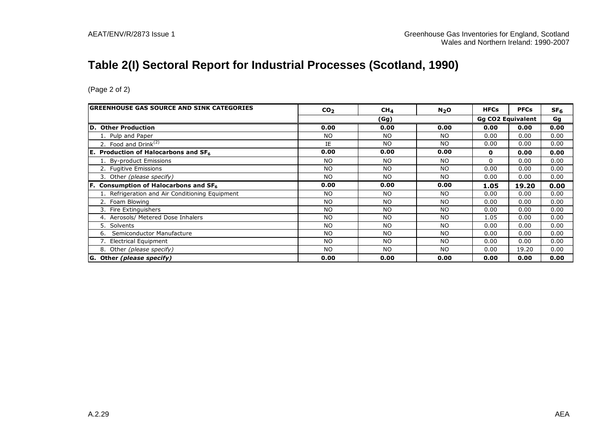# **Table 2(I) Sectoral Report for Industrial Processes (Scotland, 1990)**

| <b>GREENHOUSE GAS SOURCE AND SINK CATEGORIES</b> | CO <sub>2</sub> | CH <sub>4</sub> | N <sub>2</sub> O | <b>HFCs</b>              | <b>PFCs</b> | SF <sub>6</sub> |
|--------------------------------------------------|-----------------|-----------------|------------------|--------------------------|-------------|-----------------|
|                                                  | (Gg)            |                 |                  | <b>Gg CO2 Equivalent</b> |             | Gg              |
| D. Other Production                              | 0.00            | 0.00            | 0.00             | 0.00                     | 0.00        | 0.00            |
| 1. Pulp and Paper                                | <b>NO</b>       | N <sub>O</sub>  | <b>NO</b>        | 0.00                     | 0.00        | 0.00            |
| 2. Food and $Drink(2)$                           | IE              | <b>NO</b>       | <b>NO</b>        | 0.00                     | 0.00        | 0.00            |
| <b>E.</b> Production of Halocarbons and $SF6$    | 0.00            | 0.00            | 0.00             | 0                        | 0.00        | 0.00            |
| 1. By-product Emissions                          | <b>NO</b>       | N <sub>O</sub>  | NO               | 0                        | 0.00        | 0.00            |
| 2. Fugitive Emissions                            | <b>NO</b>       | <b>NO</b>       | <b>NO</b>        | 0.00                     | 0.00        | 0.00            |
| 3. Other (please specify)                        | <b>NO</b>       | <b>NO</b>       | <b>NO</b>        | 0.00                     | 0.00        | 0.00            |
| <b>F.</b> Consumption of Halocarbons and $SF6$   | 0.00            | 0.00            | 0.00             | 1.05                     | 19.20       | 0.00            |
| 1. Refrigeration and Air Conditioning Equipment  | <b>NO</b>       | <b>NO</b>       | <b>NO</b>        | 0.00                     | 0.00        | 0.00            |
| 2. Foam Blowing                                  | <b>NO</b>       | <b>NO</b>       | N <sub>O</sub>   | 0.00                     | 0.00        | 0.00            |
| 3. Fire Extinguishers                            | <b>NO</b>       | <b>NO</b>       | <b>NO</b>        | 0.00                     | 0.00        | 0.00            |
| 4. Aerosols/ Metered Dose Inhalers               | <b>NO</b>       | <b>NO</b>       | <b>NO</b>        | 1.05                     | 0.00        | 0.00            |
| 5. Solvents                                      | <b>NO</b>       | N <sub>O</sub>  | <b>NO</b>        | 0.00                     | 0.00        | 0.00            |
| Semiconductor Manufacture<br>6.                  | <b>NO</b>       | N <sub>O</sub>  | N <sub>O</sub>   | 0.00                     | 0.00        | 0.00            |
| 7. Electrical Equipment                          | <b>NO</b>       | N <sub>O</sub>  | <b>NO</b>        | 0.00                     | 0.00        | 0.00            |
| 8. Other (please specify)                        | <b>NO</b>       | N <sub>O</sub>  | <b>NO</b>        | 0.00                     | 19.20       | 0.00            |
| G. Other (please specify)                        | 0.00            | 0.00            | 0.00             | 0.00                     | 0.00        | 0.00            |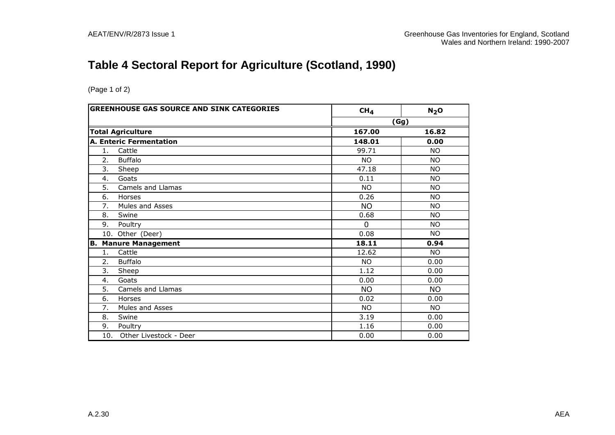# **Table 4 Sectoral Report for Agriculture (Scotland, 1990)**

| <b>GREENHOUSE GAS SOURCE AND SINK CATEGORIES</b> | CH <sub>4</sub> | N <sub>2</sub> O |
|--------------------------------------------------|-----------------|------------------|
|                                                  |                 | (Gg)             |
| <b>Total Agriculture</b>                         | 167.00          | 16.82            |
| <b>A. Enteric Fermentation</b>                   | 148.01          | 0.00             |
| Cattle<br>1.                                     | 99.71           | <b>NO</b>        |
| 2.<br><b>Buffalo</b>                             | <b>NO</b>       | <b>NO</b>        |
| 3.<br>Sheep                                      | 47.18           | <b>NO</b>        |
| Goats<br>4.                                      | 0.11            | <b>NO</b>        |
| 5.<br>Camels and Llamas                          | <b>NO</b>       | <b>NO</b>        |
| 6.<br>Horses                                     | 0.26            | <b>NO</b>        |
| 7.<br>Mules and Asses                            | <b>NO</b>       | <b>NO</b>        |
| 8.<br>Swine                                      | 0.68            | <b>NO</b>        |
| 9.<br>Poultry                                    | $\Omega$        | NO.              |
| 10. Other (Deer)                                 | 0.08            | <b>NO</b>        |
| IB.<br><b>Manure Management</b>                  | 18.11           | 0.94             |
| Cattle<br>1 <sub>1</sub>                         | 12.62           | <b>NO</b>        |
| 2.<br><b>Buffalo</b>                             | <b>NO</b>       | 0.00             |
| 3.<br>Sheep                                      | 1.12            | 0.00             |
| 4.<br>Goats                                      | 0.00            | 0.00             |
| 5.<br>Camels and Llamas                          | <b>NO</b>       | <b>NO</b>        |
| 6.<br>Horses                                     | 0.02            | 0.00             |
| 7.<br>Mules and Asses                            | <b>NO</b>       | <b>NO</b>        |
| 8.<br>Swine                                      | 3.19            | 0.00             |
| 9.<br>Poultry                                    | 1.16            | 0.00             |
| Other Livestock - Deer<br>10.                    | 0.00            | 0.00             |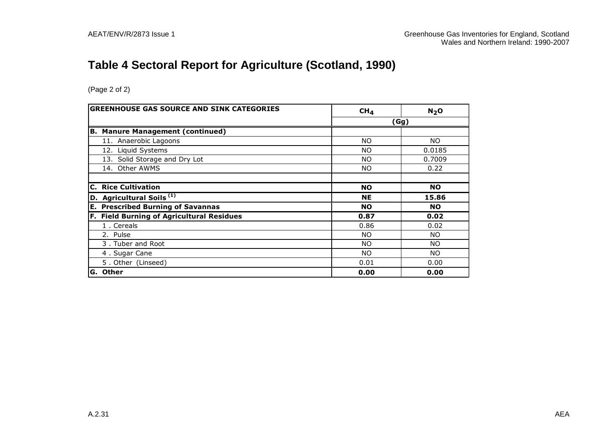# **Table 4 Sectoral Report for Agriculture (Scotland, 1990)**

| <b>GREENHOUSE GAS SOURCE AND SINK CATEGORIES</b> | CH <sub>4</sub> | N <sub>2</sub> O |
|--------------------------------------------------|-----------------|------------------|
|                                                  |                 | (Gg)             |
| <b>B. Manure Management (continued)</b>          |                 |                  |
| 11. Anaerobic Lagoons                            | <b>NO</b>       | NO.              |
| 12. Liquid Systems                               | NO.             | 0.0185           |
| 13. Solid Storage and Dry Lot                    | <b>NO</b>       | 0.7009           |
| 14. Other AWMS                                   | NO.             | 0.22             |
|                                                  |                 |                  |
| <b>C. Rice Cultivation</b>                       | <b>NO</b>       | <b>NO</b>        |
| <b>D.</b> Agricultural Soils $^{(1)}$            | <b>NE</b>       | 15.86            |
| <b>E. Prescribed Burning of Savannas</b>         | <b>NO</b>       | <b>NO</b>        |
| F. Field Burning of Agricultural Residues        | 0.87            | 0.02             |
| 1. Cereals                                       | 0.86            | 0.02             |
| 2. Pulse                                         | NO.             | NO.              |
| 3. Tuber and Root                                | <b>NO</b>       | NO.              |
| 4. Sugar Cane                                    | NO.             | NO.              |
| 5. Other (Linseed)                               | 0.01            | 0.00             |
| <b>G. Other</b>                                  | 0.00            | 0.00             |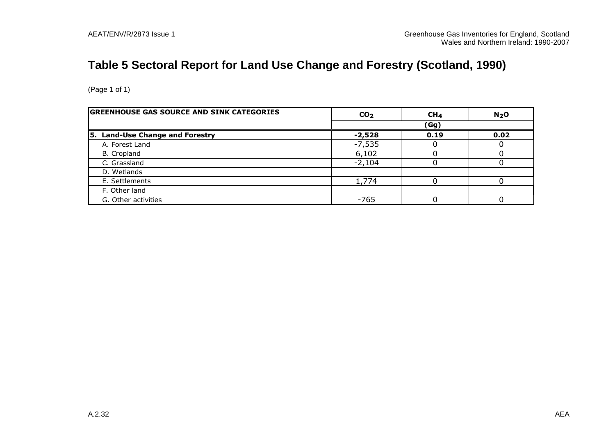# **Table 5 Sectoral Report for Land Use Change and Forestry (Scotland, 1990)**

| <b>GREENHOUSE GAS SOURCE AND SINK CATEGORIES</b> | CO <sub>2</sub> | CH <sub>4</sub> | N <sub>2</sub> O |
|--------------------------------------------------|-----------------|-----------------|------------------|
|                                                  |                 | (Gg)            |                  |
| 5. Land-Use Change and Forestry                  | $-2,528$        | 0.19            | 0.02             |
| A. Forest Land                                   | $-7,535$        |                 |                  |
| B. Cropland                                      | 6,102           |                 |                  |
| C. Grassland                                     | $-2,104$        |                 |                  |
| D. Wetlands                                      |                 |                 |                  |
| E. Settlements                                   | 1,774           |                 |                  |
| F. Other land                                    |                 |                 |                  |
| G. Other activities                              | $-765$          |                 |                  |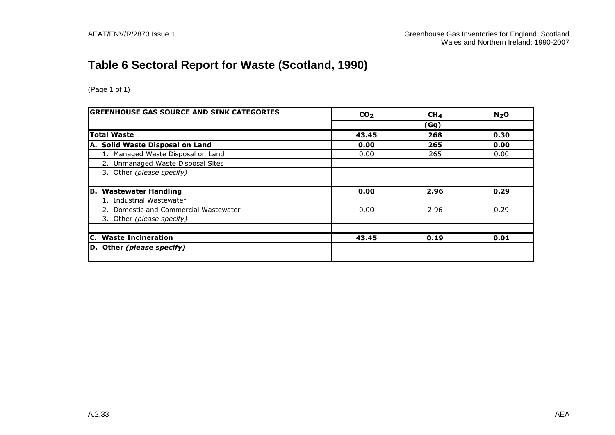# **Table 6 Sectoral Report for Waste (Scotland, 1990)**

| <b>GREENHOUSE GAS SOURCE AND SINK CATEGORIES</b> | CO <sub>2</sub> | CH <sub>4</sub> | N <sub>2</sub> O |  |
|--------------------------------------------------|-----------------|-----------------|------------------|--|
|                                                  | (Gg)            |                 |                  |  |
| <b>Total Waste</b>                               | 43.45           | 268             | 0.30             |  |
| A. Solid Waste Disposal on Land                  | 0.00            | 265             | 0.00             |  |
| 1. Managed Waste Disposal on Land                | 0.00            | 265             | 0.00             |  |
| 2. Unmanaged Waste Disposal Sites                |                 |                 |                  |  |
| 3. Other (please specify)                        |                 |                 |                  |  |
|                                                  |                 |                 |                  |  |
| <b>Wastewater Handling</b><br>IB.                | 0.00            | 2.96            | 0.29             |  |
| 1. Industrial Wastewater                         |                 |                 |                  |  |
| 2. Domestic and Commercial Wastewater            | 0.00            | 2.96            | 0.29             |  |
| 3. Other (please specify)                        |                 |                 |                  |  |
|                                                  |                 |                 |                  |  |
| C. Waste Incineration                            | 43.45           | 0.19            | 0.01             |  |
| D. Other (please specify)                        |                 |                 |                  |  |
|                                                  |                 |                 |                  |  |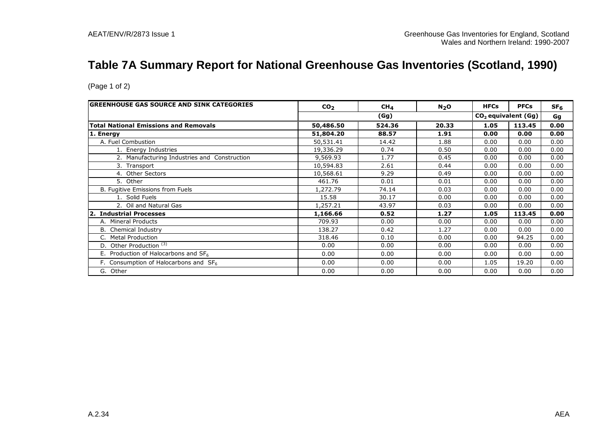# **Table 7A Summary Report for National Greenhouse Gas Inventories (Scotland, 1990)**

| <b>GREENHOUSE GAS SOURCE AND SINK CATEGORIES</b><br>CO <sub>2</sub><br>CH <sub>4</sub> |           | $N_2$ O | <b>HFCs</b> | <b>PFCs</b> | SF <sub>6</sub>       |      |
|----------------------------------------------------------------------------------------|-----------|---------|-------------|-------------|-----------------------|------|
|                                                                                        |           | (Gg)    |             |             | $CO2$ equivalent (Gg) | Gg   |
| <b>Total National Emissions and Removals</b>                                           | 50,486.50 | 524.36  | 20.33       | 1.05        | 113.45                | 0.00 |
| 1. Energy                                                                              | 51,804.20 | 88.57   | 1.91        | 0.00        | 0.00                  | 0.00 |
| A. Fuel Combustion                                                                     | 50,531.41 | 14.42   | 1.88        | 0.00        | 0.00                  | 0.00 |
| 1. Energy Industries                                                                   | 19,336.29 | 0.74    | 0.50        | 0.00        | 0.00                  | 0.00 |
| 2. Manufacturing Industries and Construction                                           | 9,569.93  | 1.77    | 0.45        | 0.00        | 0.00                  | 0.00 |
| 3. Transport                                                                           | 10,594.83 | 2.61    | 0.44        | 0.00        | 0.00                  | 0.00 |
| 4. Other Sectors                                                                       | 10,568.61 | 9.29    | 0.49        | 0.00        | 0.00                  | 0.00 |
| 5. Other                                                                               | 461.76    | 0.01    | 0.01        | 0.00        | 0.00                  | 0.00 |
| B. Fugitive Emissions from Fuels                                                       | 1,272.79  | 74.14   | 0.03        | 0.00        | 0.00                  | 0.00 |
| 1. Solid Fuels                                                                         | 15.58     | 30.17   | 0.00        | 0.00        | 0.00                  | 0.00 |
| 2. Oil and Natural Gas                                                                 | 1,257.21  | 43.97   | 0.03        | 0.00        | 0.00                  | 0.00 |
| 2. Industrial Processes                                                                | 1,166.66  | 0.52    | 1.27        | 1.05        | 113.45                | 0.00 |
| A. Mineral Products                                                                    | 709.93    | 0.00    | 0.00        | 0.00        | 0.00                  | 0.00 |
| <b>B.</b> Chemical Industry                                                            | 138.27    | 0.42    | 1.27        | 0.00        | 0.00                  | 0.00 |
| C. Metal Production                                                                    | 318.46    | 0.10    | 0.00        | 0.00        | 94.25                 | 0.00 |
| D. Other Production <sup>(3)</sup>                                                     | 0.00      | 0.00    | 0.00        | 0.00        | 0.00                  | 0.00 |
| E. Production of Halocarbons and $SF6$                                                 | 0.00      | 0.00    | 0.00        | 0.00        | 0.00                  | 0.00 |
| F. Consumption of Halocarbons and $SF6$                                                | 0.00      | 0.00    | 0.00        | 1.05        | 19.20                 | 0.00 |
| G. Other                                                                               | 0.00      | 0.00    | 0.00        | 0.00        | 0.00                  | 0.00 |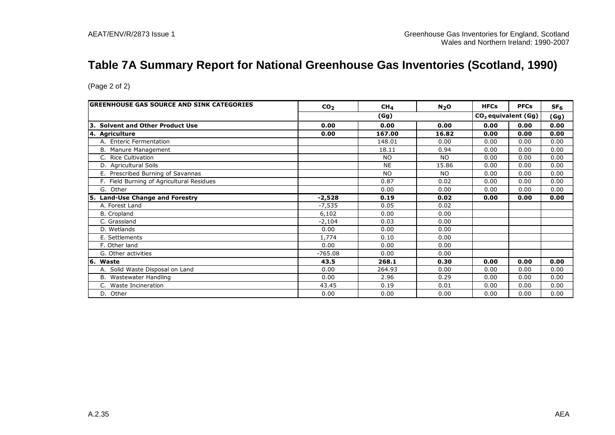### **Table 7A Summary Report for National Greenhouse Gas Inventories (Scotland, 1990)**

| GREENHOUSE GAS SOURCE AND SINK CATEGORIES  | CO <sub>2</sub> | CH <sub>4</sub> | N <sub>2</sub> O | <b>HFCs</b>                     | <b>PFCs</b> | SF <sub>6</sub> |
|--------------------------------------------|-----------------|-----------------|------------------|---------------------------------|-------------|-----------------|
|                                            |                 | (Gg)            |                  | CO <sub>2</sub> equivalent (Gg) |             | (Gg)            |
| 3. Solvent and Other Product Use           | 0.00            | 0.00            | 0.00             | 0.00                            | 0.00        | 0.00            |
| 4. Agriculture                             | 0.00            | 167.00          | 16.82            | 0.00                            | 0.00        | 0.00            |
| A. Enteric Fermentation                    |                 | 148.01          | 0.00             | 0.00                            | 0.00        | 0.00            |
| B. Manure Management                       |                 | 18.11           | 0.94             | 0.00                            | 0.00        | 0.00            |
| C. Rice Cultivation                        |                 | N <sub>O</sub>  | NO.              | 0.00                            | 0.00        | 0.00            |
| D. Agricultural Soils                      |                 | <b>NE</b>       | 15.86            | 0.00                            | 0.00        | 0.00            |
| E. Prescribed Burning of Savannas          |                 | NO.             | NO.              | 0.00                            | 0.00        | 0.00            |
| F. Field Burning of Agricultural Residues  |                 | 0.87            | 0.02             | 0.00                            | 0.00        | 0.00            |
| G. Other                                   |                 | 0.00            | 0.00             | 0.00                            | 0.00        | 0.00            |
| <b>Land-Use Change and Forestry</b><br>15. | $-2,528$        | 0.19            | 0.02             | 0.00                            | 0.00        | 0.00            |
| A. Forest Land                             | $-7,535$        | 0.05            | 0.02             |                                 |             |                 |
| B. Cropland                                | 6,102           | 0.00            | 0.00             |                                 |             |                 |
| C. Grassland                               | $-2,104$        | 0.03            | 0.00             |                                 |             |                 |
| D. Wetlands                                | 0.00            | 0.00            | 0.00             |                                 |             |                 |
| E. Settlements                             | 1,774           | 0.10            | 0.00             |                                 |             |                 |
| F. Other land                              | 0.00            | 0.00            | 0.00             |                                 |             |                 |
| G. Other activities                        | $-765.08$       | 0.00            | 0.00             |                                 |             |                 |
| 16. Waste                                  | 43.5            | 268.1           | 0.30             | 0.00                            | 0.00        | 0.00            |
| A. Solid Waste Disposal on Land            | 0.00            | 264.93          | 0.00             | 0.00                            | 0.00        | 0.00            |
| B. Wastewater Handling                     | 0.00            | 2.96            | 0.29             | 0.00                            | 0.00        | 0.00            |
| Waste Incineration<br>C.                   | 43.45           | 0.19            | 0.01             | 0.00                            | 0.00        | 0.00            |
| D. Other                                   | 0.00            | 0.00            | 0.00             | 0.00                            | 0.00        | 0.00            |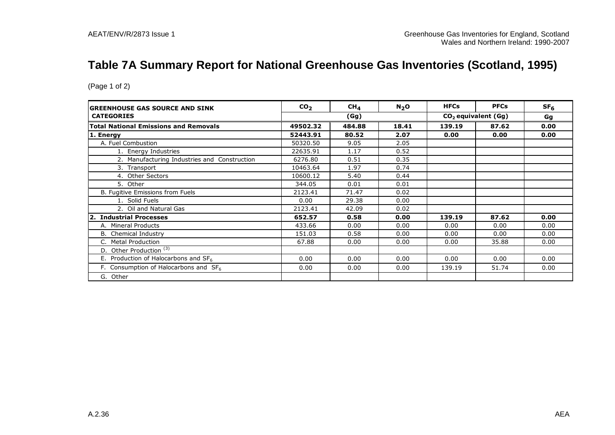# **Table 7A Summary Report for National Greenhouse Gas Inventories (Scotland, 1995)**

| <b>IGREENHOUSE GAS SOURCE AND SINK</b>        | CO <sub>2</sub> | CH <sub>4</sub> | N <sub>2</sub> O | <b>HFCs</b> | <b>PFCs</b>           | SF <sub>6</sub> |
|-----------------------------------------------|-----------------|-----------------|------------------|-------------|-----------------------|-----------------|
| <b>CATEGORIES</b>                             |                 | (Gg)            |                  |             | $CO2$ equivalent (Gg) | Gg              |
| <b>Total National Emissions and Removals</b>  | 49502.32        | 484.88          | 18.41            | 139.19      | 87.62                 | 0.00            |
| 1. Energy                                     | 52443.91        | 80.52           | 2.07             | 0.00        | 0.00                  | 0.00            |
| A. Fuel Combustion                            | 50320.50        | 9.05            | 2.05             |             |                       |                 |
| 1. Energy Industries                          | 22635.91        | 1.17            | 0.52             |             |                       |                 |
| 2. Manufacturing Industries and Construction  | 6276.80         | 0.51            | 0.35             |             |                       |                 |
| 3. Transport                                  | 10463.64        | 1.97            | 0.74             |             |                       |                 |
| 4. Other Sectors                              | 10600.12        | 5.40            | 0.44             |             |                       |                 |
| 5. Other                                      | 344.05          | 0.01            | 0.01             |             |                       |                 |
| B. Fugitive Emissions from Fuels              | 2123.41         | 71.47           | 0.02             |             |                       |                 |
| 1. Solid Fuels                                | 0.00            | 29.38           | 0.00             |             |                       |                 |
| 2. Oil and Natural Gas                        | 2123.41         | 42.09           | 0.02             |             |                       |                 |
| 2. Industrial Processes                       | 652.57          | 0.58            | 0.00             | 139.19      | 87.62                 | 0.00            |
| A. Mineral Products                           | 433.66          | 0.00            | 0.00             | 0.00        | 0.00                  | 0.00            |
| <b>B.</b> Chemical Industry                   | 151.03          | 0.58            | 0.00             | 0.00        | 0.00                  | 0.00            |
| <b>Metal Production</b>                       | 67.88           | 0.00            | 0.00             | 0.00        | 35.88                 | 0.00            |
| D. Other Production $\overline{\binom{3}{3}}$ |                 |                 |                  |             |                       |                 |
| E. Production of Halocarbons and $SF_6$       | 0.00            | 0.00            | 0.00             | 0.00        | 0.00                  | 0.00            |
| F. Consumption of Halocarbons and $SF6$       | 0.00            | 0.00            | 0.00             | 139.19      | 51.74                 | 0.00            |
| G. Other                                      |                 |                 |                  |             |                       |                 |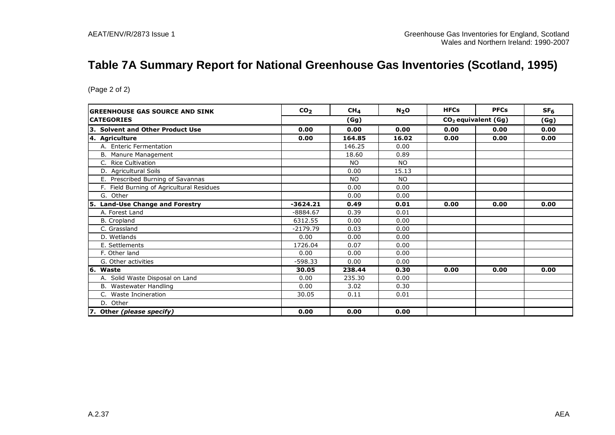# **Table 7A Summary Report for National Greenhouse Gas Inventories (Scotland, 1995)**

| <b>GREENHOUSE GAS SOURCE AND SINK</b>      | CO <sub>2</sub> | CH <sub>4</sub> | N <sub>2</sub> O | <b>HFCs</b> | <b>PFCs</b>           | SF <sub>6</sub> |
|--------------------------------------------|-----------------|-----------------|------------------|-------------|-----------------------|-----------------|
| <b>CATEGORIES</b>                          |                 | (Gg)            |                  |             | $CO2$ equivalent (Gg) | (Gg)            |
| 3. Solvent and Other Product Use           | 0.00            | 0.00            | 0.00             | 0.00        | 0.00                  | 0.00            |
| 4. Agriculture                             | 0.00            | 164.85          | 16.02            | 0.00        | 0.00                  | 0.00            |
| A. Enteric Fermentation                    |                 | 146.25          | 0.00             |             |                       |                 |
| B. Manure Management                       |                 | 18.60           | 0.89             |             |                       |                 |
| C. Rice Cultivation                        |                 | <b>NO</b>       | <b>NO</b>        |             |                       |                 |
| D. Agricultural Soils                      |                 | 0.00            | 15.13            |             |                       |                 |
| E. Prescribed Burning of Savannas          |                 | <b>NO</b>       | <b>NO</b>        |             |                       |                 |
| F. Field Burning of Agricultural Residues  |                 | 0.00            | 0.00             |             |                       |                 |
| G. Other                                   |                 | 0.00            | 0.00             |             |                       |                 |
| <b>Land-Use Change and Forestry</b><br>15. | $-3624.21$      | 0.49            | 0.01             | 0.00        | 0.00                  | 0.00            |
| A. Forest Land                             | $-8884.67$      | 0.39            | 0.01             |             |                       |                 |
| B. Cropland                                | 6312.55         | 0.00            | 0.00             |             |                       |                 |
| C. Grassland                               | $-2179.79$      | 0.03            | 0.00             |             |                       |                 |
| D. Wetlands                                | 0.00            | 0.00            | 0.00             |             |                       |                 |
| E. Settlements                             | 1726.04         | 0.07            | 0.00             |             |                       |                 |
| F. Other land                              | 0.00            | 0.00            | 0.00             |             |                       |                 |
| G. Other activities                        | $-598.33$       | 0.00            | 0.00             |             |                       |                 |
| 6. Waste                                   | 30.05           | 238.44          | 0.30             | 0.00        | 0.00                  | 0.00            |
| A. Solid Waste Disposal on Land            | 0.00            | 235.30          | 0.00             |             |                       |                 |
| B. Wastewater Handling                     | 0.00            | 3.02            | 0.30             |             |                       |                 |
| C. Waste Incineration                      | 30.05           | 0.11            | 0.01             |             |                       |                 |
| D. Other                                   |                 |                 |                  |             |                       |                 |
| 7. Other (please specify)                  | 0.00            | 0.00            | 0.00             |             |                       |                 |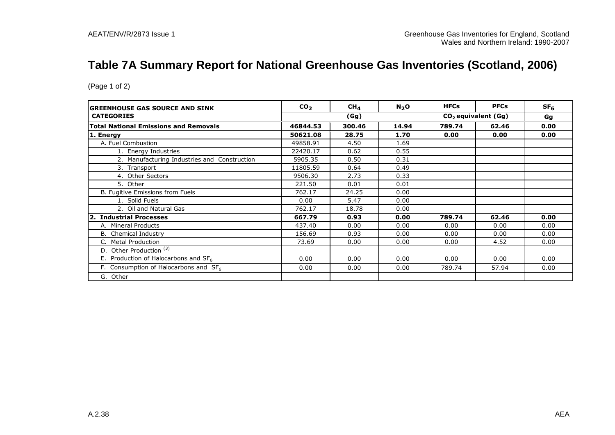# **Table 7A Summary Report for National Greenhouse Gas Inventories (Scotland, 2006)**

| <b>GREENHOUSE GAS SOURCE AND SINK</b>         | CO <sub>2</sub> | CH <sub>4</sub> | N <sub>2</sub> O | <b>HFCs</b> | <b>PFCs</b>           | SF <sub>6</sub> |
|-----------------------------------------------|-----------------|-----------------|------------------|-------------|-----------------------|-----------------|
| <b>CATEGORIES</b>                             |                 | (Gg)            |                  |             | $CO2$ equivalent (Gg) | Gg              |
| <b>Total National Emissions and Removals</b>  | 46844.53        | 300.46          | 14.94            | 789.74      | 62.46                 | 0.00            |
| 1. Energy                                     | 50621.08        | 28.75           | 1.70             | 0.00        | 0.00                  | 0.00            |
| A. Fuel Combustion                            | 49858.91        | 4.50            | 1.69             |             |                       |                 |
| 1. Energy Industries                          | 22420.17        | 0.62            | 0.55             |             |                       |                 |
| 2. Manufacturing Industries and Construction  | 5905.35         | 0.50            | 0.31             |             |                       |                 |
| 3. Transport                                  | 11805.59        | 0.64            | 0.49             |             |                       |                 |
| 4. Other Sectors                              | 9506.30         | 2.73            | 0.33             |             |                       |                 |
| 5. Other                                      | 221.50          | 0.01            | 0.01             |             |                       |                 |
| B. Fugitive Emissions from Fuels              | 762.17          | 24.25           | 0.00             |             |                       |                 |
| 1. Solid Fuels                                | 0.00            | 5.47            | 0.00             |             |                       |                 |
| 2. Oil and Natural Gas                        | 762.17          | 18.78           | 0.00             |             |                       |                 |
| 2. Industrial Processes                       | 667.79          | 0.93            | 0.00             | 789.74      | 62.46                 | 0.00            |
| A. Mineral Products                           | 437.40          | 0.00            | 0.00             | 0.00        | 0.00                  | 0.00            |
| <b>B.</b> Chemical Industry                   | 156.69          | 0.93            | 0.00             | 0.00        | 0.00                  | 0.00            |
| <b>Metal Production</b>                       | 73.69           | 0.00            | 0.00             | 0.00        | 4.52                  | 0.00            |
| D. Other Production $\overline{\binom{3}{3}}$ |                 |                 |                  |             |                       |                 |
| E. Production of Halocarbons and $SF_6$       | 0.00            | 0.00            | 0.00             | 0.00        | 0.00                  | 0.00            |
| F. Consumption of Halocarbons and $SF6$       | 0.00            | 0.00            | 0.00             | 789.74      | 57.94                 | 0.00            |
| G. Other                                      |                 |                 |                  |             |                       |                 |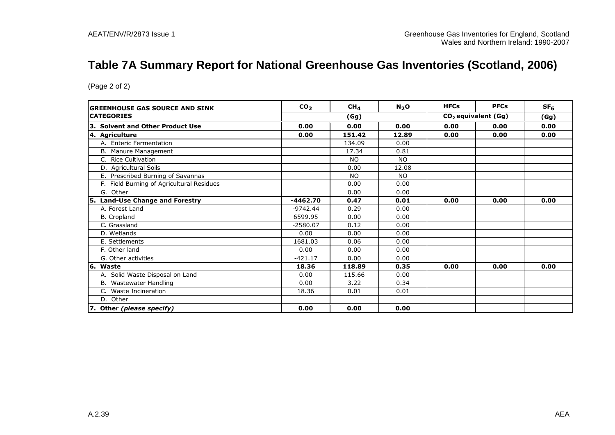# **Table 7A Summary Report for National Greenhouse Gas Inventories (Scotland, 2006)**

| <b>GREENHOUSE GAS SOURCE AND SINK</b>      | CO <sub>2</sub> | CH <sub>4</sub> | N <sub>2</sub> O | <b>HFCs</b> | <b>PFCs</b>                     | SF <sub>6</sub> |
|--------------------------------------------|-----------------|-----------------|------------------|-------------|---------------------------------|-----------------|
| <b>CATEGORIES</b>                          |                 | (Gg)            |                  |             | CO <sub>2</sub> equivalent (Gg) | (Gg)            |
| 3. Solvent and Other Product Use           | 0.00            | 0.00            | 0.00             | 0.00        | 0.00                            | 0.00            |
| 4. Agriculture                             | 0.00            | 151.42          | 12.89            | 0.00        | 0.00                            | 0.00            |
| A. Enteric Fermentation                    |                 | 134.09          | 0.00             |             |                                 |                 |
| B. Manure Management                       |                 | 17.34           | 0.81             |             |                                 |                 |
| C. Rice Cultivation                        |                 | <b>NO</b>       | <b>NO</b>        |             |                                 |                 |
| D. Agricultural Soils                      |                 | 0.00            | 12.08            |             |                                 |                 |
| E. Prescribed Burning of Savannas          |                 | <b>NO</b>       | <b>NO</b>        |             |                                 |                 |
| F. Field Burning of Agricultural Residues  |                 | 0.00            | 0.00             |             |                                 |                 |
| G. Other                                   |                 | 0.00            | 0.00             |             |                                 |                 |
| <b>Land-Use Change and Forestry</b><br>l5. | $-4462.70$      | 0.47            | 0.01             | 0.00        | 0.00                            | 0.00            |
| A. Forest Land                             | $-9742.44$      | 0.29            | 0.00             |             |                                 |                 |
| <b>B.</b> Cropland                         | 6599.95         | 0.00            | 0.00             |             |                                 |                 |
| C. Grassland                               | $-2580.07$      | 0.12            | 0.00             |             |                                 |                 |
| D. Wetlands                                | 0.00            | 0.00            | 0.00             |             |                                 |                 |
| E. Settlements                             | 1681.03         | 0.06            | 0.00             |             |                                 |                 |
| F. Other land                              | 0.00            | 0.00            | 0.00             |             |                                 |                 |
| G. Other activities                        | -421.17         | 0.00            | 0.00             |             |                                 |                 |
| 6. Waste                                   | 18.36           | 118.89          | 0.35             | 0.00        | 0.00                            | 0.00            |
| A. Solid Waste Disposal on Land            | 0.00            | 115.66          | 0.00             |             |                                 |                 |
| B. Wastewater Handling                     | 0.00            | 3.22            | 0.34             |             |                                 |                 |
| C. Waste Incineration                      | 18.36           | 0.01            | 0.01             |             |                                 |                 |
| D. Other                                   |                 |                 |                  |             |                                 |                 |
| 7. Other (please specify)                  | 0.00            | 0.00            | 0.00             |             |                                 |                 |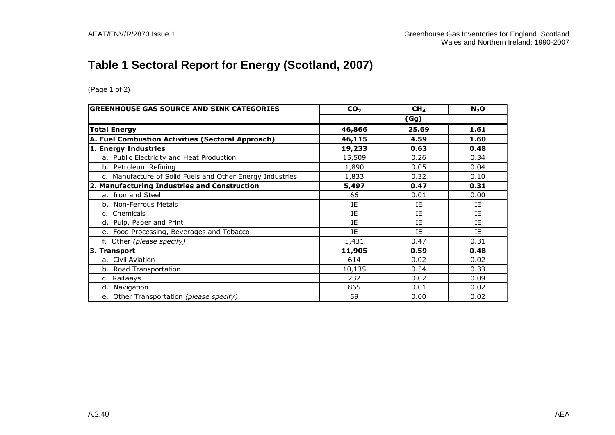# **Table 1 Sectoral Report for Energy (Scotland, 2007)**

| <b>GREENHOUSE GAS SOURCE AND SINK CATEGORIES</b>          | CO <sub>2</sub> | CH <sub>4</sub> | $N_2$ O |
|-----------------------------------------------------------|-----------------|-----------------|---------|
|                                                           |                 | (Gg)            |         |
| <b>Total Energy</b>                                       | 46,866          | 25.69           | 1.61    |
| A. Fuel Combustion Activities (Sectoral Approach)         | 46,115          | 4.59            | 1.60    |
| 1. Energy Industries                                      | 19,233          | 0.63            | 0.48    |
| a. Public Electricity and Heat Production                 | 15,509          | 0.26            | 0.34    |
| b. Petroleum Refining                                     | 1,890           | 0.05            | 0.04    |
| c. Manufacture of Solid Fuels and Other Energy Industries | 1,833           | 0.32            | 0.10    |
| 2. Manufacturing Industries and Construction              | 5,497           | 0.47            | 0.31    |
| a. Iron and Steel                                         | 66              | 0.01            | 0.00    |
| b. Non-Ferrous Metals                                     | ΙE              | ΙE              | IE      |
| c. Chemicals                                              | IE              | IE              | IE      |
| d. Pulp, Paper and Print                                  | IE              | IE              | IE      |
| e. Food Processing, Beverages and Tobacco                 | IE              | IE              | IE      |
| f. Other (please specify)                                 | 5,431           | 0.47            | 0.31    |
| 3. Transport                                              | 11,905          | 0.59            | 0.48    |
| a. Civil Aviation                                         | 614             | 0.02            | 0.02    |
| b. Road Transportation                                    | 10,135          | 0.54            | 0.33    |
| c. Railways                                               | 232             | 0.02            | 0.09    |
| d. Navigation                                             | 865             | 0.01            | 0.02    |
| e. Other Transportation (please specify)                  | 59              | 0.00            | 0.02    |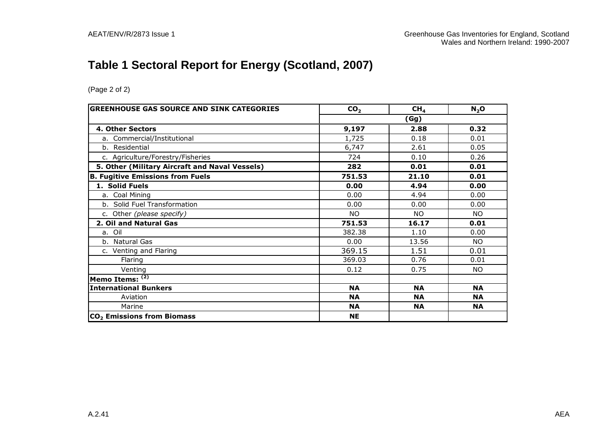# **Table 1 Sectoral Report for Energy (Scotland, 2007)**

| <b>GREENHOUSE GAS SOURCE AND SINK CATEGORIES</b> | CO <sub>2</sub> | CH <sub>4</sub> | $N_2$ O   |  |
|--------------------------------------------------|-----------------|-----------------|-----------|--|
|                                                  |                 | (Gg)            |           |  |
| 4. Other Sectors                                 | 9,197           | 2.88            | 0.32      |  |
| a. Commercial/Institutional                      | 1,725           | 0.18            | 0.01      |  |
| b. Residential                                   | 6,747           | 2.61            | 0.05      |  |
| c. Agriculture/Forestry/Fisheries                | 724             | 0.10            | 0.26      |  |
| 5. Other (Military Aircraft and Naval Vessels)   | 282             | 0.01            | 0.01      |  |
| <b>B. Fugitive Emissions from Fuels</b>          | 751.53          | 21.10           | 0.01      |  |
| 1. Solid Fuels                                   | 0.00            | 4.94            | 0.00      |  |
| a. Coal Mining                                   | 0.00            | 4.94            | 0.00      |  |
| b. Solid Fuel Transformation                     | 0.00            | 0.00            | 0.00      |  |
| c. Other (please specify)                        | <b>NO</b>       | NO.             | <b>NO</b> |  |
| 2. Oil and Natural Gas                           | 751.53          | 16.17           | 0.01      |  |
| a. Oil                                           | 382.38          | 1.10            | 0.00      |  |
| b. Natural Gas                                   | 0.00            | 13.56           | <b>NO</b> |  |
| c. Venting and Flaring                           | 369.15          | 1.51            | 0.01      |  |
| Flaring                                          | 369.03          | 0.76            | 0.01      |  |
| Venting                                          | 0.12            | 0.75            | NO.       |  |
| Memo Items: $(2)$                                |                 |                 |           |  |
| <b>International Bunkers</b>                     | <b>NA</b>       | <b>NA</b>       | <b>NA</b> |  |
| Aviation                                         | <b>NA</b>       | <b>NA</b>       | <b>NA</b> |  |
| Marine                                           | <b>NA</b>       | <b>NA</b>       | <b>NA</b> |  |
| CO <sub>2</sub> Emissions from Biomass           | <b>NE</b>       |                 |           |  |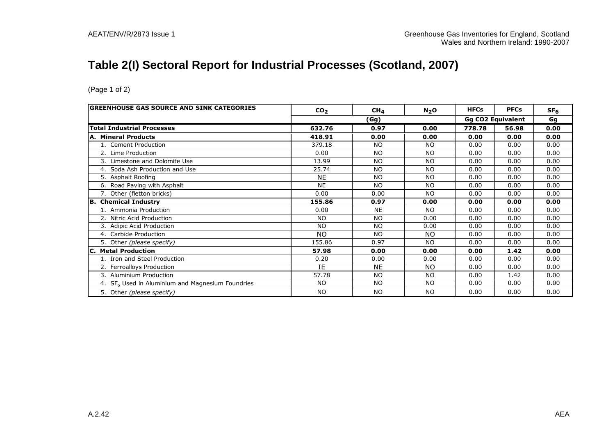# **Table 2(I) Sectoral Report for Industrial Processes (Scotland, 2007)**

| <b> GREENHOUSE GAS SOURCE AND SINK CATEGORIES</b>            | CO <sub>2</sub> | CH <sub>4</sub> | $N_2$ O        | <b>HFCs</b> | <b>PFCs</b>              | SF <sub>6</sub> |
|--------------------------------------------------------------|-----------------|-----------------|----------------|-------------|--------------------------|-----------------|
|                                                              |                 | (Gg)            |                |             | <b>Gg CO2 Equivalent</b> | Gg              |
| <b>Total Industrial Processes</b>                            | 632.76          | 0.97            | 0.00           | 778.78      | 56.98                    | 0.00            |
| <b>A. Mineral Products</b>                                   | 418.91          | 0.00            | 0.00           | 0.00        | 0.00                     | 0.00            |
| 1. Cement Production                                         | 379.18          | <b>NO</b>       | <b>NO</b>      | 0.00        | 0.00                     | 0.00            |
| 2. Lime Production                                           | 0.00            | <b>NO</b>       | <b>NO</b>      | 0.00        | 0.00                     | 0.00            |
| Limestone and Dolomite Use<br>3.                             | 13.99           | NO.             | NO.            | 0.00        | 0.00                     | 0.00            |
| 4. Soda Ash Production and Use                               | 25.74           | <b>NO</b>       | N <sub>O</sub> | 0.00        | 0.00                     | 0.00            |
| 5. Asphalt Roofing                                           | <b>NE</b>       | <b>NO</b>       | N <sub>O</sub> | 0.00        | 0.00                     | 0.00            |
| 6. Road Paving with Asphalt                                  | <b>NE</b>       | <b>NO</b>       | <b>NO</b>      | 0.00        | 0.00                     | 0.00            |
| 7. Other (fletton bricks)                                    | 0.00            | 0.00            | NO.            | 0.00        | 0.00                     | 0.00            |
| B. Chemical Industry                                         | 155.86          | 0.97            | 0.00           | 0.00        | 0.00                     | 0.00            |
| 1. Ammonia Production                                        | 0.00            | <b>NE</b>       | <b>NO</b>      | 0.00        | 0.00                     | 0.00            |
| 2. Nitric Acid Production                                    | NO.             | <b>NO</b>       | 0.00           | 0.00        | 0.00                     | 0.00            |
| 3. Adipic Acid Production                                    | <b>NO</b>       | <b>NO</b>       | 0.00           | 0.00        | 0.00                     | 0.00            |
| 4. Carbide Production                                        | <b>NO</b>       | <b>NO</b>       | <b>NO</b>      | 0.00        | 0.00                     | 0.00            |
| 5. Other (please specify)                                    | 155.86          | 0.97            | <b>NO</b>      | 0.00        | 0.00                     | 0.00            |
| <b>Metal Production</b><br>IC.                               | 57.98           | 0.00            | 0.00           | 0.00        | 1.42                     | 0.00            |
| 1. Iron and Steel Production                                 | 0.20            | 0.00            | 0.00           | 0.00        | 0.00                     | 0.00            |
| 2. Ferroalloys Production                                    | IE              | <b>NE</b>       | NO.            | 0.00        | 0.00                     | 0.00            |
| <b>Aluminium Production</b><br>3.                            | 57.78           | <b>NO</b>       | <b>NO</b>      | 0.00        | 1.42                     | 0.00            |
| 4. SF <sub>6</sub> Used in Aluminium and Magnesium Foundries | <b>NO</b>       | <b>NO</b>       | <b>NO</b>      | 0.00        | 0.00                     | 0.00            |
| 5. Other (please specify)                                    | <b>NO</b>       | <b>NO</b>       | <b>NO</b>      | 0.00        | 0.00                     | 0.00            |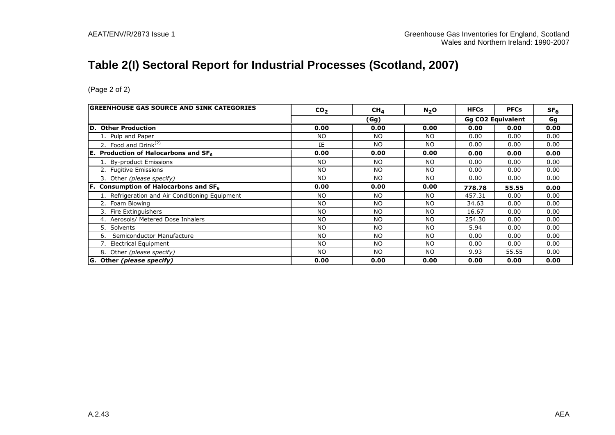# **Table 2(I) Sectoral Report for Industrial Processes (Scotland, 2007)**

| <b>GREENHOUSE GAS SOURCE AND SINK CATEGORIES</b> | CO <sub>2</sub> | CH <sub>4</sub> | N <sub>2</sub> O | <b>HFCs</b> | <b>PFCs</b>              | SF <sub>6</sub> |
|--------------------------------------------------|-----------------|-----------------|------------------|-------------|--------------------------|-----------------|
|                                                  |                 | (Gg)            |                  |             | <b>Gg CO2 Equivalent</b> | Gg              |
| D. Other Production                              | 0.00            | 0.00            | 0.00             | 0.00        | 0.00                     | 0.00            |
| 1. Pulp and Paper                                | <b>NO</b>       | NO.             | NO.              | 0.00        | 0.00                     | 0.00            |
| 2. Food and $Drink(2)$                           | IE              | <b>NO</b>       | <b>NO</b>        | 0.00        | 0.00                     | 0.00            |
| <b>E.</b> Production of Halocarbons and $SF_6$   | 0.00            | 0.00            | 0.00             | 0.00        | 0.00                     | 0.00            |
| 1. By-product Emissions                          | <b>NO</b>       | NO.             | <b>NO</b>        | 0.00        | 0.00                     | 0.00            |
| 2. Fugitive Emissions                            | <b>NO</b>       | <b>NO</b>       | <b>NO</b>        | 0.00        | 0.00                     | 0.00            |
| 3. Other (please specify)                        | <b>NO</b>       | <b>NO</b>       | <b>NO</b>        | 0.00        | 0.00                     | 0.00            |
| <b>F.</b> Consumption of Halocarbons and $SF6$   | 0.00            | 0.00            | 0.00             | 778.78      | 55.55                    | 0.00            |
| 1. Refrigeration and Air Conditioning Equipment  | <b>NO</b>       | <b>NO</b>       | <b>NO</b>        | 457.31      | 0.00                     | 0.00            |
| 2. Foam Blowing                                  | <b>NO</b>       | <b>NO</b>       | <b>NO</b>        | 34.63       | 0.00                     | 0.00            |
| 3. Fire Extinguishers                            | <b>NO</b>       | <b>NO</b>       | NO.              | 16.67       | 0.00                     | 0.00            |
| 4. Aerosols/ Metered Dose Inhalers               | <b>NO</b>       | <b>NO</b>       | <b>NO</b>        | 254.30      | 0.00                     | 0.00            |
| 5. Solvents                                      | <b>NO</b>       | <b>NO</b>       | <b>NO</b>        | 5.94        | 0.00                     | 0.00            |
| Semiconductor Manufacture<br>6.                  | <b>NO</b>       | <b>NO</b>       | NO.              | 0.00        | 0.00                     | 0.00            |
| 7. Electrical Equipment                          | <b>NO</b>       | <b>NO</b>       | <b>NO</b>        | 0.00        | 0.00                     | 0.00            |
| 8. Other (please specify)                        | <b>NO</b>       | <b>NO</b>       | <b>NO</b>        | 9.93        | 55.55                    | 0.00            |
| G. Other (please specify)                        | 0.00            | 0.00            | 0.00             | 0.00        | 0.00                     | 0.00            |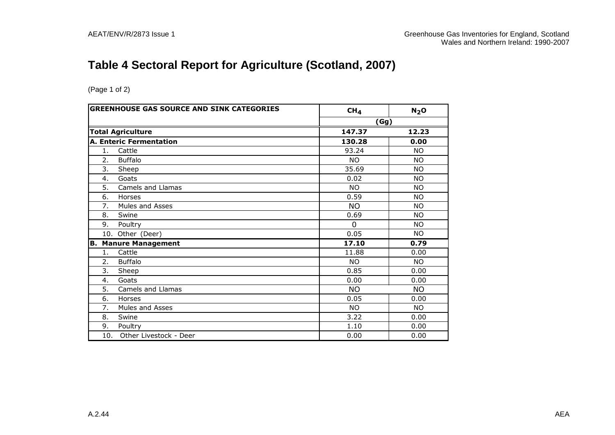# **Table 4 Sectoral Report for Agriculture (Scotland, 2007)**

|                | <b>GREENHOUSE GAS SOURCE AND SINK CATEGORIES</b> | CH <sub>4</sub> | N <sub>2</sub> O |
|----------------|--------------------------------------------------|-----------------|------------------|
|                |                                                  | (Gg)            |                  |
|                | <b>Total Agriculture</b>                         | 147.37          | 12.23            |
|                | <b>A. Enteric Fermentation</b>                   | 130.28          | 0.00             |
| $\mathbf{1}$ . | Cattle                                           | 93.24           | <b>NO</b>        |
| 2.             | <b>Buffalo</b>                                   | <b>NO</b>       | <b>NO</b>        |
| 3.             | Sheep                                            | 35.69           | <b>NO</b>        |
| 4.             | Goats                                            | 0.02            | <b>NO</b>        |
| 5.             | Camels and Llamas                                | <b>NO</b>       | NO.              |
| 6.             | Horses                                           | 0.59            | <b>NO</b>        |
| 7.             | Mules and Asses                                  | NO.             | <b>NO</b>        |
| 8.             | Swine                                            | 0.69            | <b>NO</b>        |
| 9.             | Poultry                                          | $\Omega$        | NO.              |
|                | 10. Other (Deer)                                 | 0.05            | <b>NO</b>        |
| В.             | <b>Manure Management</b>                         | 17.10           | 0.79             |
| 1.             | Cattle                                           | 11.88           | 0.00             |
| 2.             | <b>Buffalo</b>                                   | NO.             | <b>NO</b>        |
| 3.             | Sheep                                            | 0.85            | 0.00             |
| 4.             | Goats                                            | 0.00            | 0.00             |
| 5.             | Camels and Llamas                                | <b>NO</b>       | NO.              |
| 6.             | Horses                                           | 0.05            | 0.00             |
| 7.             | Mules and Asses                                  | <b>NO</b>       | NO.              |
| 8.             | Swine                                            | 3.22            | 0.00             |
| 9.             | Poultry                                          | 1.10            | 0.00             |
| 10.            | Other Livestock - Deer                           | 0.00            | 0.00             |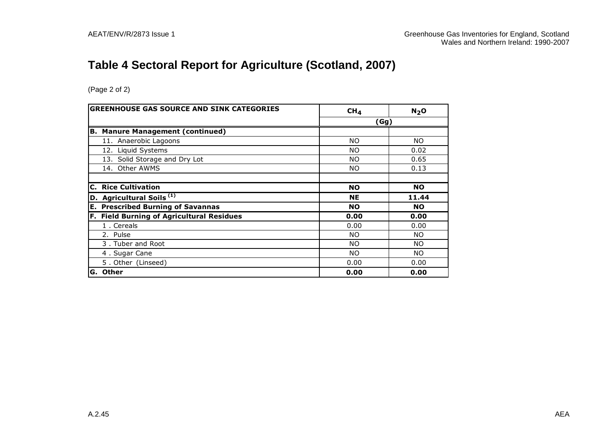# **Table 4 Sectoral Report for Agriculture (Scotland, 2007)**

| <b>GREENHOUSE GAS SOURCE AND SINK CATEGORIES</b> | CH <sub>4</sub> | N <sub>2</sub> O |
|--------------------------------------------------|-----------------|------------------|
|                                                  | (Gg)            |                  |
| <b>Manure Management (continued)</b><br>IB.      |                 |                  |
| 11. Anaerobic Lagoons                            | <b>NO</b>       | NO.              |
| 12. Liquid Systems                               | NO.             | 0.02             |
| 13. Solid Storage and Dry Lot                    | NO.             | 0.65             |
| 14. Other AWMS                                   | NO.             | 0.13             |
|                                                  |                 |                  |
| <b>Rice Cultivation</b><br>C.                    | <b>NO</b>       | <b>NO</b>        |
| $\vert$ D. Agricultural Soils $^{(1)}$           | <b>NE</b>       | 11.44            |
| <b>E. Prescribed Burning of Savannas</b>         | <b>NO</b>       | <b>NO</b>        |
| F. Field Burning of Agricultural Residues        | 0.00            | 0.00             |
| 1. Cereals                                       | 0.00            | 0.00             |
| 2. Pulse                                         | NO.             | NO.              |
| 3. Tuber and Root                                | NO.             | NO.              |
| 4. Sugar Cane                                    | NO.             | NO.              |
| 5. Other (Linseed)                               | 0.00            | 0.00             |
| <b>Other</b><br>IG.                              | 0.00            | 0.00             |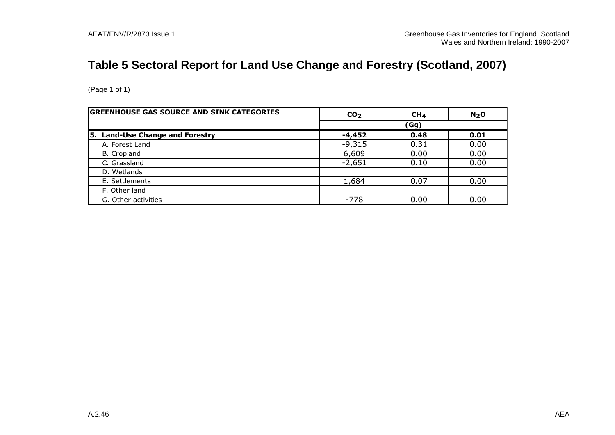# **Table 5 Sectoral Report for Land Use Change and Forestry (Scotland, 2007)**

| <b>GREENHOUSE GAS SOURCE AND SINK CATEGORIES</b> | CO <sub>2</sub> | CH <sub>4</sub> | N <sub>2</sub> O |
|--------------------------------------------------|-----------------|-----------------|------------------|
|                                                  |                 | (Gg)            |                  |
| 5. Land-Use Change and Forestry                  | -4,452          | 0.48            | 0.01             |
| A. Forest Land                                   | $-9,315$        | 0.31            | 0.00             |
| B. Cropland                                      | 6,609           | 0.00            | 0.00             |
| C. Grassland                                     | $-2,651$        | 0.10            | 0.00             |
| D. Wetlands                                      |                 |                 |                  |
| E. Settlements                                   | 1,684           | 0.07            | 0.00             |
| F. Other land                                    |                 |                 |                  |
| G. Other activities                              | $-778$          | 0.00            | 0.00             |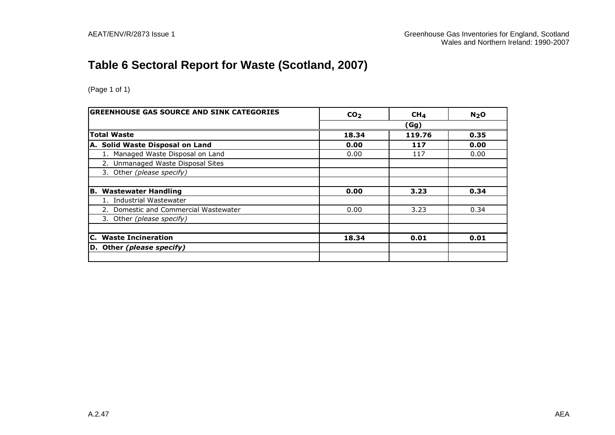# **Table 6 Sectoral Report for Waste (Scotland, 2007)**

| <b>GREENHOUSE GAS SOURCE AND SINK CATEGORIES</b> | CO <sub>2</sub> | CH <sub>4</sub> | N <sub>2</sub> O |
|--------------------------------------------------|-----------------|-----------------|------------------|
|                                                  |                 | (Gg)            |                  |
| <b>Total Waste</b>                               | 18.34           | 119.76          | 0.35             |
| A. Solid Waste Disposal on Land                  | 0.00            | 117             | 0.00             |
| 1. Managed Waste Disposal on Land                | 0.00            | 117             | 0.00             |
| 2. Unmanaged Waste Disposal Sites                |                 |                 |                  |
| 3. Other (please specify)                        |                 |                 |                  |
|                                                  |                 |                 |                  |
| <b>B. Wastewater Handling</b>                    | 0.00            | 3.23            | 0.34             |
| 1. Industrial Wastewater                         |                 |                 |                  |
| 2. Domestic and Commercial Wastewater            | 0.00            | 3.23            | 0.34             |
| 3. Other (please specify)                        |                 |                 |                  |
|                                                  |                 |                 |                  |
| <b>C.</b> Waste Incineration                     | 18.34           | 0.01            | 0.01             |
| D. Other (please specify)                        |                 |                 |                  |
|                                                  |                 |                 |                  |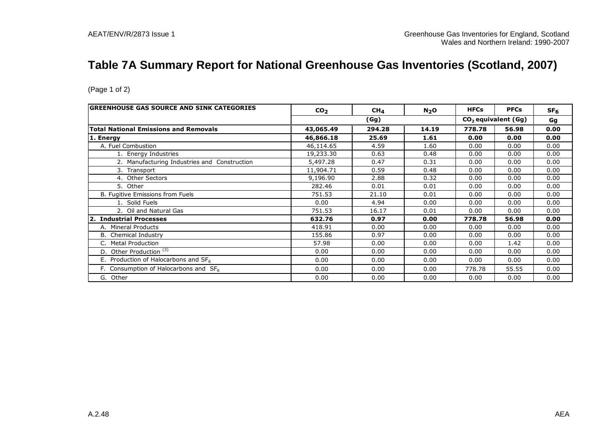# **Table 7A Summary Report for National Greenhouse Gas Inventories (Scotland, 2007)**

| <b>GREENHOUSE GAS SOURCE AND SINK CATEGORIES</b> | CO <sub>2</sub> | CH <sub>4</sub> | $N_2$ O | <b>HFCs</b> | <b>PFCs</b>           | SF <sub>6</sub> |
|--------------------------------------------------|-----------------|-----------------|---------|-------------|-----------------------|-----------------|
|                                                  |                 | (Gg)            |         |             | $CO2$ equivalent (Gg) | Gg              |
| <b>Total National Emissions and Removals</b>     | 43,065.49       | 294.28          | 14.19   | 778.78      | 56.98                 | 0.00            |
| 1. Energy                                        | 46,866.18       | 25.69           | 1.61    | 0.00        | 0.00                  | 0.00            |
| A. Fuel Combustion                               | 46,114.65       | 4.59            | 1.60    | 0.00        | 0.00                  | 0.00            |
| 1. Energy Industries                             | 19,233.30       | 0.63            | 0.48    | 0.00        | 0.00                  | 0.00            |
| 2. Manufacturing Industries and Construction     | 5,497.28        | 0.47            | 0.31    | 0.00        | 0.00                  | 0.00            |
| 3. Transport                                     | 11,904.71       | 0.59            | 0.48    | 0.00        | 0.00                  | 0.00            |
| 4. Other Sectors                                 | 9,196.90        | 2.88            | 0.32    | 0.00        | 0.00                  | 0.00            |
| 5. Other                                         | 282.46          | 0.01            | 0.01    | 0.00        | 0.00                  | 0.00            |
| B. Fugitive Emissions from Fuels                 | 751.53          | 21.10           | 0.01    | 0.00        | 0.00                  | 0.00            |
| 1. Solid Fuels                                   | 0.00            | 4.94            | 0.00    | 0.00        | 0.00                  | 0.00            |
| 2. Oil and Natural Gas                           | 751.53          | 16.17           | 0.01    | 0.00        | 0.00                  | 0.00            |
| 2. Industrial Processes                          | 632.76          | 0.97            | 0.00    | 778.78      | 56.98                 | 0.00            |
| A. Mineral Products                              | 418.91          | 0.00            | 0.00    | 0.00        | 0.00                  | 0.00            |
| <b>B.</b> Chemical Industry                      | 155.86          | 0.97            | 0.00    | 0.00        | 0.00                  | 0.00            |
| <b>Metal Production</b>                          | 57.98           | 0.00            | 0.00    | 0.00        | 1.42                  | 0.00            |
| D. Other Production <sup>(3)</sup>               | 0.00            | 0.00            | 0.00    | 0.00        | 0.00                  | 0.00            |
| E. Production of Halocarbons and $SF6$           | 0.00            | 0.00            | 0.00    | 0.00        | 0.00                  | 0.00            |
| F. Consumption of Halocarbons and $SF6$          | 0.00            | 0.00            | 0.00    | 778.78      | 55.55                 | 0.00            |
| G. Other                                         | 0.00            | 0.00            | 0.00    | 0.00        | 0.00                  | 0.00            |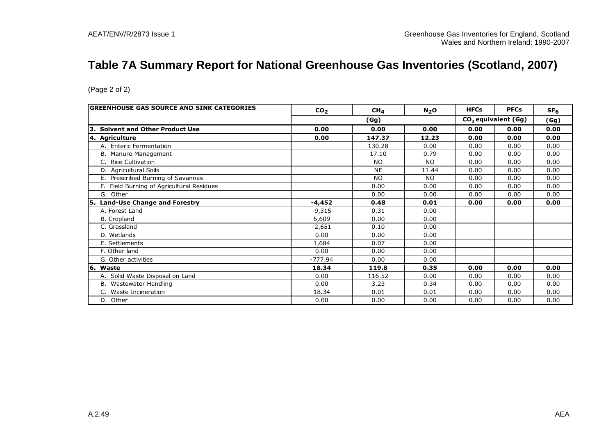# **Table 7A Summary Report for National Greenhouse Gas Inventories (Scotland, 2007)**

| (Page 2 of 2)                             |                 |                 |                  |             |                                 |                 |
|-------------------------------------------|-----------------|-----------------|------------------|-------------|---------------------------------|-----------------|
| GREENHOUSE GAS SOURCE AND SINK CATEGORIES | CO <sub>2</sub> | CH <sub>4</sub> | N <sub>2</sub> O | <b>HFCs</b> | <b>PFCs</b>                     | SF <sub>6</sub> |
|                                           |                 | (Gg)            |                  |             | CO <sub>2</sub> equivalent (Gg) | (Gg)            |
| 3. Solvent and Other Product Use          | 0.00            | 0.00            | 0.00             | 0.00        | 0.00                            | 0.00            |
| 4. Agriculture                            | 0.00            | 147.37          | 12.23            | 0.00        | 0.00                            | 0.00            |
| A. Enteric Fermentation                   |                 | 130.28          | 0.00             | 0.00        | 0.00                            | 0.00            |
| B. Manure Management                      |                 | 17.10           | 0.79             | 0.00        | 0.00                            | 0.00            |
| C. Rice Cultivation                       |                 | <b>NO</b>       | <b>NO</b>        | 0.00        | 0.00                            | 0.00            |
| D. Agricultural Soils                     |                 | <b>NE</b>       | 11.44            | 0.00        | 0.00                            | 0.00            |
| E. Prescribed Burning of Savannas         |                 | <b>NO</b>       | <b>NO</b>        | 0.00        | 0.00                            | 0.00            |
| F. Field Burning of Agricultural Residues |                 | 0.00            | 0.00             | 0.00        | 0.00                            | 0.00            |
| G. Other                                  |                 | 0.00            | 0.00             | 0.00        | 0.00                            | 0.00            |
| 5. Land-Use Change and Forestry           | $-4,452$        | 0.48            | 0.01             | 0.00        | 0.00                            | 0.00            |
| A. Forest Land                            | $-9.315$        | 0.31            | 0.00             |             |                                 |                 |
| B. Cropland                               | 6,609           | 0.00            | 0.00             |             |                                 |                 |
| C. Grassland                              | $-2,651$        | 0.10            | 0.00             |             |                                 |                 |
| D. Wetlands                               | 0.00            | 0.00            | 0.00             |             |                                 |                 |
| E. Settlements                            | 1,684           | 0.07            | 0.00             |             |                                 |                 |
| F. Other land                             | 0.00            | 0.00            | 0.00             |             |                                 |                 |
| G. Other activities                       | $-777.94$       | 0.00            | 0.00             |             |                                 |                 |
| 6. Waste                                  | 18.34           | 119.8           | 0.35             | 0.00        | 0.00                            | 0.00            |
| A. Solid Waste Disposal on Land           | 0.00            | 116.52          | 0.00             | 0.00        | 0.00                            | 0.00            |
| B. Wastewater Handling                    | 0.00            | 3.23            | 0.34             | 0.00        | 0.00                            | 0.00            |
| C. Waste Incineration                     | 18.34           | 0.01            | 0.01             | 0.00        | 0.00                            | 0.00            |
| D. Other                                  | 0.00            | 0.00            | 0.00             | 0.00        | 0.00                            | 0.00            |